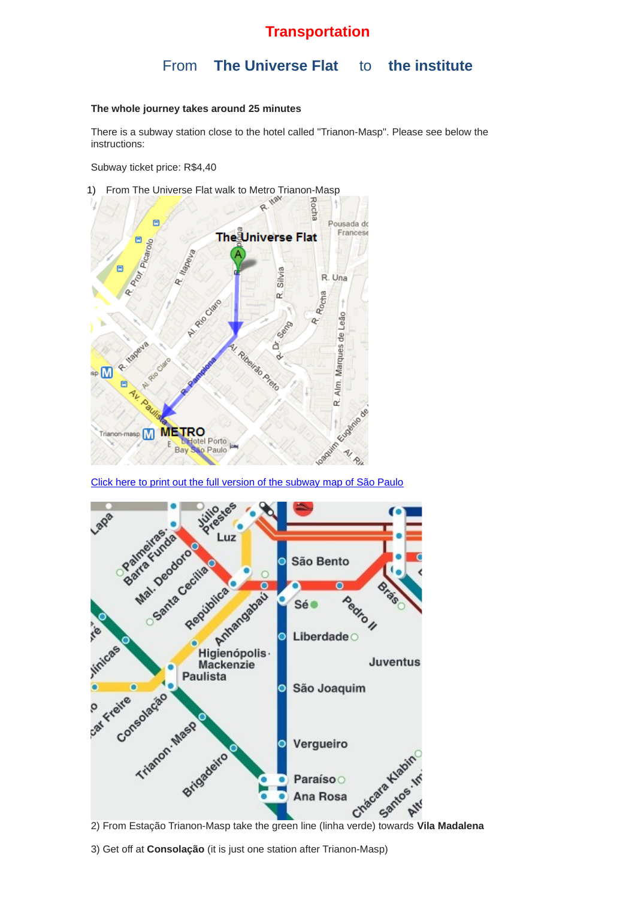## **Transportation**

## From **The Universe Flat** to **the institute**

## **The whole journey takes around 25 minutes**

There is a subway station close to the hotel called "Trianon-Masp". Please see below the instructions:

Subway ticket price: R\$4,40

1) From The Universe Flat walk to Metro Trianon-Masp



[Click here to print out the full version of the subway map of São Paulo](http://www.metro.sp.gov.br/pdf/mapa-da-rede-metro.pdf)



3) Get off at **Consolação** (it is just one station after Trianon-Masp)